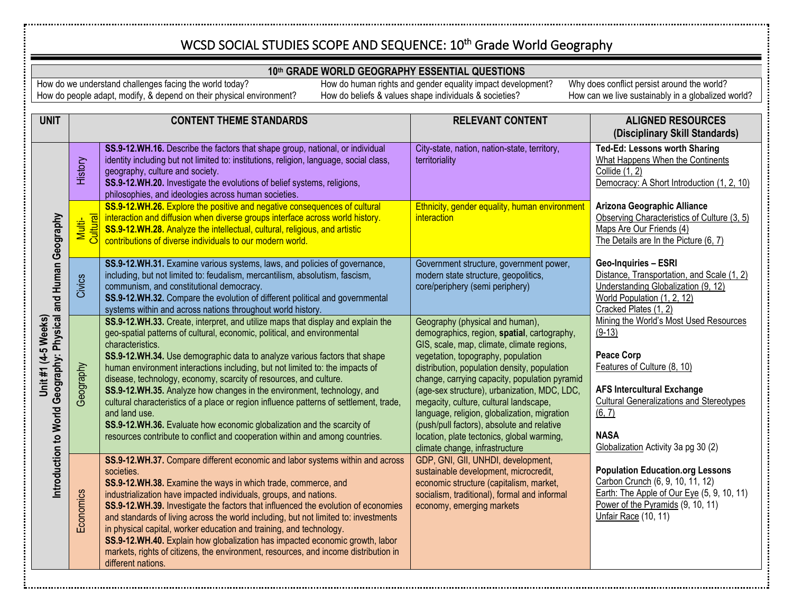### **10th GRADE WORLD GEOGRAPHY ESSENTIAL QUESTIONS**

How do we understand challenges facing the world today? How do people adapt, modify, & depend on their physical environment? How do human rights and gender equality impact development? How do beliefs & values shape individuals & societies?

| <b>UNIT</b>                                                                          | <b>CONTENT THEME STANDARDS</b> |                                                                                                                                                                                                                                                                                                                                                                                                                                                                                                                                                                                                                                                                                                                                                                  | <b>RELEVANT CONTENT</b>                                                                                                                                                                                                                                                                                                                                                                                                                                                                                                                     | <b>ALIGNED RESOURCES</b><br>(Disciplinary Skill Standards)                                                                                                                                                                                                     |
|--------------------------------------------------------------------------------------|--------------------------------|------------------------------------------------------------------------------------------------------------------------------------------------------------------------------------------------------------------------------------------------------------------------------------------------------------------------------------------------------------------------------------------------------------------------------------------------------------------------------------------------------------------------------------------------------------------------------------------------------------------------------------------------------------------------------------------------------------------------------------------------------------------|---------------------------------------------------------------------------------------------------------------------------------------------------------------------------------------------------------------------------------------------------------------------------------------------------------------------------------------------------------------------------------------------------------------------------------------------------------------------------------------------------------------------------------------------|----------------------------------------------------------------------------------------------------------------------------------------------------------------------------------------------------------------------------------------------------------------|
| Introduction to World Geography: Physical and Human Geography<br>Unit #1 (4-5 Weeks) | History                        | SS.9-12.WH.16. Describe the factors that shape group, national, or individual<br>identity including but not limited to: institutions, religion, language, social class,<br>geography, culture and society.<br>SS.9-12.WH.20. Investigate the evolutions of belief systems, religions,<br>philosophies, and ideologies across human societies.                                                                                                                                                                                                                                                                                                                                                                                                                    | City-state, nation, nation-state, territory,<br>territoriality                                                                                                                                                                                                                                                                                                                                                                                                                                                                              | <b>Ted-Ed: Lessons worth Sharing</b><br>What Happens When the Continents<br>Collide (1, 2)<br>Democracy: A Short Introduction (1, 2, 10)                                                                                                                       |
|                                                                                      | Cultural<br>Multi-             | SS.9-12.WH.26. Explore the positive and negative consequences of cultural<br>interaction and diffusion when diverse groups interface across world history.<br>SS.9-12.WH.28. Analyze the intellectual, cultural, religious, and artistic<br>contributions of diverse individuals to our modern world.                                                                                                                                                                                                                                                                                                                                                                                                                                                            | Ethnicity, gender equality, human environment<br>interaction                                                                                                                                                                                                                                                                                                                                                                                                                                                                                | Arizona Geographic Alliance<br>Observing Characteristics of Culture (3, 5)<br>Maps Are Our Friends (4)<br>The Details are In the Picture (6, 7)                                                                                                                |
|                                                                                      | Civics                         | SS.9-12.WH.31. Examine various systems, laws, and policies of governance,<br>including, but not limited to: feudalism, mercantilism, absolutism, fascism,<br>communism, and constitutional democracy.<br>SS.9-12.WH.32. Compare the evolution of different political and governmental<br>systems within and across nations throughout world history.                                                                                                                                                                                                                                                                                                                                                                                                             | Government structure, government power,<br>modern state structure, geopolitics,<br>core/periphery (semi periphery)                                                                                                                                                                                                                                                                                                                                                                                                                          | Geo-Inquiries - ESRI<br>Distance, Transportation, and Scale (1, 2)<br>Understanding Globalization (9, 12)<br>World Population (1, 2, 12)<br>Cracked Plates (1, 2)                                                                                              |
|                                                                                      | Geography                      | SS.9-12.WH.33. Create, interpret, and utilize maps that display and explain the<br>geo-spatial patterns of cultural, economic, political, and environmental<br>characteristics.<br>SS.9-12.WH.34. Use demographic data to analyze various factors that shape<br>human environment interactions including, but not limited to: the impacts of<br>disease, technology, economy, scarcity of resources, and culture.<br>SS.9-12.WH.35. Analyze how changes in the environment, technology, and<br>cultural characteristics of a place or region influence patterns of settlement, trade,<br>and land use.<br>SS.9-12.WH.36. Evaluate how economic globalization and the scarcity of<br>resources contribute to conflict and cooperation within and among countries. | Geography (physical and human),<br>demographics, region, spatial, cartography,<br>GIS, scale, map, climate, climate regions,<br>vegetation, topography, population<br>distribution, population density, population<br>change, carrying capacity, population pyramid<br>(age-sex structure), urbanization, MDC, LDC,<br>megacity, culture, cultural landscape,<br>language, religion, globalization, migration<br>(push/pull factors), absolute and relative<br>location, plate tectonics, global warming,<br>climate change, infrastructure | Mining the World's Most Used Resources<br>$(9-13)$<br><b>Peace Corp</b><br>Features of Culture (8, 10)<br><b>AFS Intercultural Exchange</b><br><b>Cultural Generalizations and Stereotypes</b><br>(6, 7)<br><b>NASA</b><br>Globalization Activity 3a pg 30 (2) |
|                                                                                      | Economics                      | SS.9-12.WH.37. Compare different economic and labor systems within and across<br>societies.<br>SS.9-12.WH.38. Examine the ways in which trade, commerce, and<br>industrialization have impacted individuals, groups, and nations.<br>SS.9-12.WH.39. Investigate the factors that influenced the evolution of economies<br>and standards of living across the world including, but not limited to: investments<br>in physical capital, worker education and training, and technology.<br>SS.9-12.WH.40. Explain how globalization has impacted economic growth, labor<br>markets, rights of citizens, the environment, resources, and income distribution in<br>different nations.                                                                                | GDP, GNI, GII, UNHDI, development,<br>sustainable development, microcredit,<br>economic structure (capitalism, market,<br>socialism, traditional), formal and informal<br>economy, emerging markets                                                                                                                                                                                                                                                                                                                                         | <b>Population Education.org Lessons</b><br>Carbon Crunch (6, 9, 10, 11, 12)<br>Earth: The Apple of Our Eye (5, 9, 10, 11)<br>Power of the Pyramids (9, 10, 11)<br>Unfair Race (10, 11)                                                                         |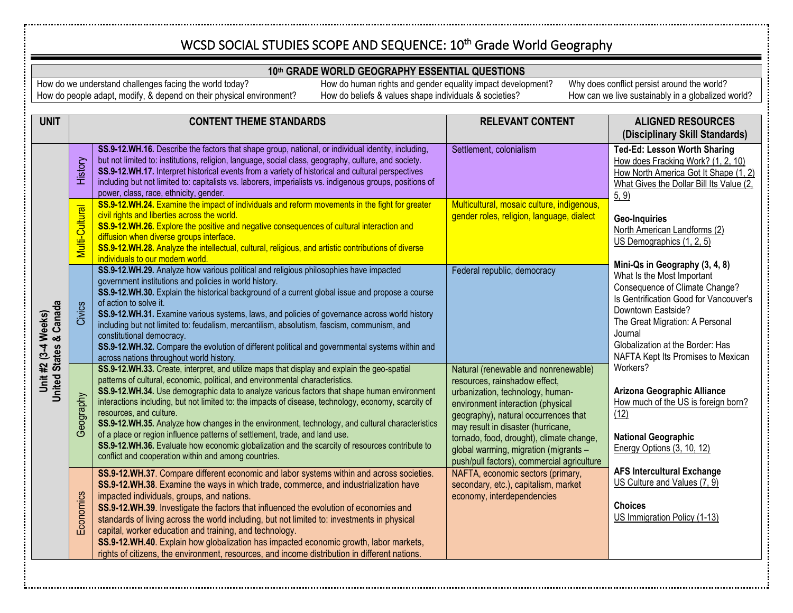### **10th GRADE WORLD GEOGRAPHY ESSENTIAL QUESTIONS**

How do we understand challenges facing the world today? How do people adapt, modify, & depend on their physical environment?

How do human rights and gender equality impact development? How do beliefs & values shape individuals & societies?

| <b>UNIT</b>                                              |                | <b>CONTENT THEME STANDARDS</b>                                                                                                                                                                                                                                                                                                                                                                                                                                                                                                                                                                                                                                                                                                                             | <b>RELEVANT CONTENT</b>                                                                                                                                                                                                                                                                                                                                         | <b>ALIGNED RESOURCES</b>                                                                                                                                                                                                                                                               |  |
|----------------------------------------------------------|----------------|------------------------------------------------------------------------------------------------------------------------------------------------------------------------------------------------------------------------------------------------------------------------------------------------------------------------------------------------------------------------------------------------------------------------------------------------------------------------------------------------------------------------------------------------------------------------------------------------------------------------------------------------------------------------------------------------------------------------------------------------------------|-----------------------------------------------------------------------------------------------------------------------------------------------------------------------------------------------------------------------------------------------------------------------------------------------------------------------------------------------------------------|----------------------------------------------------------------------------------------------------------------------------------------------------------------------------------------------------------------------------------------------------------------------------------------|--|
|                                                          |                |                                                                                                                                                                                                                                                                                                                                                                                                                                                                                                                                                                                                                                                                                                                                                            |                                                                                                                                                                                                                                                                                                                                                                 | (Disciplinary Skill Standards)                                                                                                                                                                                                                                                         |  |
| <b>United States &amp; Canada</b><br>Unit #2 (3-4 Weeks) | History        | SS.9-12.WH.16. Describe the factors that shape group, national, or individual identity, including,<br>but not limited to: institutions, religion, language, social class, geography, culture, and society.<br>SS.9-12.WH.17. Interpret historical events from a variety of historical and cultural perspectives<br>including but not limited to: capitalists vs. laborers, imperialists vs. indigenous groups, positions of<br>power, class, race, ethnicity, gender.                                                                                                                                                                                                                                                                                      | Settlement, colonialism                                                                                                                                                                                                                                                                                                                                         | <b>Ted-Ed: Lesson Worth Sharing</b><br>How does Fracking Work? (1, 2, 10)<br>How North America Got It Shape (1, 2)<br>What Gives the Dollar Bill Its Value (2,<br>(5, 9)                                                                                                               |  |
|                                                          | Multi-Cultural | SS.9-12.WH.24. Examine the impact of individuals and reform movements in the fight for greater<br>civil rights and liberties across the world.<br>SS.9-12.WH.26. Explore the positive and negative consequences of cultural interaction and<br>diffusion when diverse groups interface.<br>SS.9-12.WH.28. Analyze the intellectual, cultural, religious, and artistic contributions of diverse<br>individuals to our modern world.                                                                                                                                                                                                                                                                                                                         | Multicultural, mosaic culture, indigenous,<br>gender roles, religion, language, dialect                                                                                                                                                                                                                                                                         | <b>Geo-Inquiries</b><br>North American Landforms (2)<br>US Demographics (1, 2, 5)                                                                                                                                                                                                      |  |
|                                                          | Civics         | SS.9-12.WH.29. Analyze how various political and religious philosophies have impacted<br>government institutions and policies in world history.<br>SS.9-12.WH.30. Explain the historical background of a current global issue and propose a course<br>of action to solve it.<br>SS.9-12.WH.31. Examine various systems, laws, and policies of governance across world history<br>including but not limited to: feudalism, mercantilism, absolutism, fascism, communism, and<br>constitutional democracy.<br>SS.9-12.WH.32. Compare the evolution of different political and governmental systems within and<br>across nations throughout world history.                                                                                                    | Federal republic, democracy                                                                                                                                                                                                                                                                                                                                     | Mini-Qs in Geography (3, 4, 8)<br>What Is the Most Important<br>Consequence of Climate Change?<br>Is Gentrification Good for Vancouver's<br>Downtown Eastside?<br>The Great Migration: A Personal<br>Journal<br>Globalization at the Border: Has<br>NAFTA Kept Its Promises to Mexican |  |
|                                                          | Geography      | SS.9-12.WH.33. Create, interpret, and utilize maps that display and explain the geo-spatial<br>patterns of cultural, economic, political, and environmental characteristics.<br>SS.9-12.WH.34. Use demographic data to analyze various factors that shape human environment<br>interactions including, but not limited to: the impacts of disease, technology, economy, scarcity of<br>resources, and culture.<br>SS.9-12.WH.35. Analyze how changes in the environment, technology, and cultural characteristics<br>of a place or region influence patterns of settlement, trade, and land use.<br>SS.9-12.WH.36. Evaluate how economic globalization and the scarcity of resources contribute to<br>conflict and cooperation within and among countries. | Natural (renewable and nonrenewable)<br>resources, rainshadow effect,<br>urbanization, technology, human-<br>environment interaction (physical<br>geography), natural occurrences that<br>may result in disaster (hurricane,<br>tornado, food, drought), climate change,<br>global warming, migration (migrants -<br>push/pull factors), commercial agriculture | Workers?<br>Arizona Geographic Alliance<br>How much of the US is foreign born?<br>(12)<br><b>National Geographic</b><br>Energy Options (3, 10, 12)                                                                                                                                     |  |
|                                                          | Economics      | SS.9-12.WH.37. Compare different economic and labor systems within and across societies.<br>SS.9-12.WH.38. Examine the ways in which trade, commerce, and industrialization have<br>impacted individuals, groups, and nations.<br>SS.9-12.WH.39. Investigate the factors that influenced the evolution of economies and<br>standards of living across the world including, but not limited to: investments in physical<br>capital, worker education and training, and technology.<br>SS.9-12.WH.40. Explain how globalization has impacted economic growth, labor markets,<br>rights of citizens, the environment, resources, and income distribution in different nations.                                                                                | NAFTA, economic sectors (primary,<br>secondary, etc.), capitalism, market<br>economy, interdependencies                                                                                                                                                                                                                                                         | <b>AFS Intercultural Exchange</b><br>US Culture and Values (7, 9)<br><b>Choices</b><br>US Immigration Policy (1-13)                                                                                                                                                                    |  |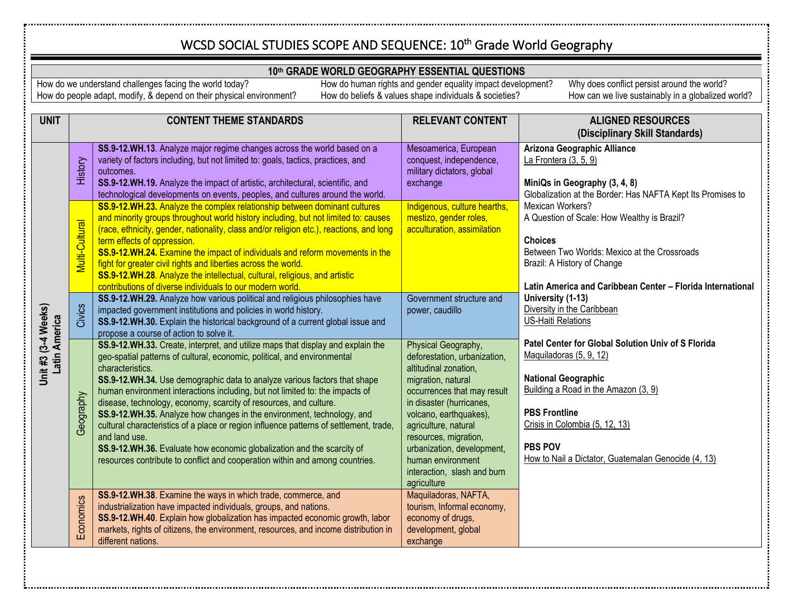### **10th GRADE WORLD GEOGRAPHY ESSENTIAL QUESTIONS**

How do we understand challenges facing the world today? How do people adapt, modify, & depend on their physical environment? How do human rights and gender equality impact development? How do beliefs & values shape individuals & societies?

| <b>UNIT</b>                          | <b>CONTENT THEME STANDARDS</b> |                                                                                                                                                                                                                                                                                                                                                                                                                                                                                                                                                                                                                                                                                                                                                                  | <b>RELEVANT CONTENT</b>                                                                                                                                                                                                                                                                                                                   | <b>ALIGNED RESOURCES</b><br>(Disciplinary Skill Standards)                                                                                                                                                                                                                             |  |
|--------------------------------------|--------------------------------|------------------------------------------------------------------------------------------------------------------------------------------------------------------------------------------------------------------------------------------------------------------------------------------------------------------------------------------------------------------------------------------------------------------------------------------------------------------------------------------------------------------------------------------------------------------------------------------------------------------------------------------------------------------------------------------------------------------------------------------------------------------|-------------------------------------------------------------------------------------------------------------------------------------------------------------------------------------------------------------------------------------------------------------------------------------------------------------------------------------------|----------------------------------------------------------------------------------------------------------------------------------------------------------------------------------------------------------------------------------------------------------------------------------------|--|
|                                      | History                        | SS.9-12.WH.13. Analyze major regime changes across the world based on a<br>variety of factors including, but not limited to: goals, tactics, practices, and<br>outcomes.<br>SS.9-12.WH.19. Analyze the impact of artistic, architectural, scientific, and<br>technological developments on events, peoples, and cultures around the world.                                                                                                                                                                                                                                                                                                                                                                                                                       | Mesoamerica, European<br>conquest, independence,<br>military dictators, global<br>exchange                                                                                                                                                                                                                                                | Arizona Geographic Alliance<br>La Frontera (3, 5, 9)<br>MiniQs in Geography (3, 4, 8)<br>Globalization at the Border: Has NAFTA Kept Its Promises to                                                                                                                                   |  |
| Unit #3 (3-4 Weeks)<br>Latin America | <b>Multi-Cultural</b>          | SS.9-12.WH.23. Analyze the complex relationship between dominant cultures<br>and minority groups throughout world history including, but not limited to: causes<br>(race, ethnicity, gender, nationality, class and/or religion etc.), reactions, and long<br>term effects of oppression.<br>SS.9-12.WH.24. Examine the impact of individuals and reform movements in the<br>fight for greater civil rights and liberties across the world.<br>SS.9-12.WH.28. Analyze the intellectual, cultural, religious, and artistic<br>contributions of diverse individuals to our modern world.                                                                                                                                                                           | Indigenous, culture hearths,<br>mestizo, gender roles,<br>acculturation, assimilation                                                                                                                                                                                                                                                     | Mexican Workers?<br>A Question of Scale: How Wealthy is Brazil?<br><b>Choices</b><br>Between Two Worlds: Mexico at the Crossroads<br>Brazil: A History of Change<br>Latin America and Caribbean Center - Florida International                                                         |  |
|                                      | Civics                         | SS.9-12.WH.29. Analyze how various political and religious philosophies have<br>impacted government institutions and policies in world history.<br>SS.9-12.WH.30. Explain the historical background of a current global issue and<br>propose a course of action to solve it.                                                                                                                                                                                                                                                                                                                                                                                                                                                                                     | Government structure and<br>power, caudillo                                                                                                                                                                                                                                                                                               | University (1-13)<br>Diversity in the Caribbean<br><b>US-Haiti Relations</b>                                                                                                                                                                                                           |  |
|                                      | Geography                      | SS.9-12.WH.33. Create, interpret, and utilize maps that display and explain the<br>geo-spatial patterns of cultural, economic, political, and environmental<br>characteristics.<br>SS.9-12.WH.34. Use demographic data to analyze various factors that shape<br>human environment interactions including, but not limited to: the impacts of<br>disease, technology, economy, scarcity of resources, and culture.<br>SS.9-12.WH.35. Analyze how changes in the environment, technology, and<br>cultural characteristics of a place or region influence patterns of settlement, trade,<br>and land use.<br>SS.9-12.WH.36. Evaluate how economic globalization and the scarcity of<br>resources contribute to conflict and cooperation within and among countries. | Physical Geography,<br>deforestation, urbanization,<br>altitudinal zonation,<br>migration, natural<br>occurrences that may result<br>in disaster (hurricanes,<br>volcano, earthquakes),<br>agriculture, natural<br>resources, migration,<br>urbanization, development,<br>human environment<br>interaction, slash and burn<br>agriculture | Patel Center for Global Solution Univ of S Florida<br>Maquiladoras (5, 9, 12)<br><b>National Geographic</b><br>Building a Road in the Amazon (3, 9)<br><b>PBS Frontline</b><br>Crisis in Colombia (5, 12, 13)<br><b>PBS POV</b><br>How to Nail a Dictator, Guatemalan Genocide (4, 13) |  |
|                                      | Economics                      | SS.9-12.WH.38. Examine the ways in which trade, commerce, and<br>industrialization have impacted individuals, groups, and nations.<br>SS.9-12.WH.40. Explain how globalization has impacted economic growth, labor<br>markets, rights of citizens, the environment, resources, and income distribution in<br>different nations.                                                                                                                                                                                                                                                                                                                                                                                                                                  | Maquiladoras, NAFTA,<br>tourism, Informal economy,<br>economy of drugs,<br>development, global<br>exchange                                                                                                                                                                                                                                |                                                                                                                                                                                                                                                                                        |  |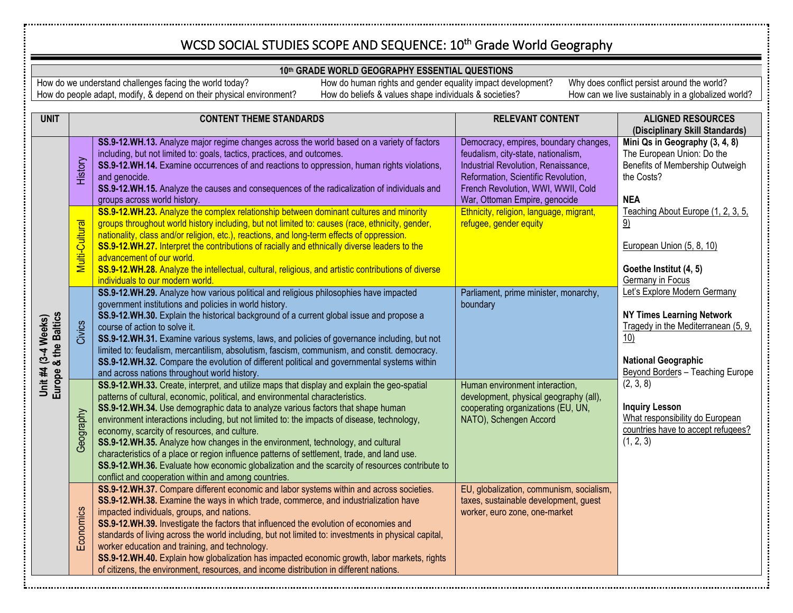### **10th GRADE WORLD GEOGRAPHY ESSENTIAL QUESTIONS**

How do we understand challenges facing the world today? How do people adapt, modify, & depend on their physical environment?

How do human rights and gender equality impact development? How do beliefs & values shape individuals & societies?

| <b>UNIT</b>                                 |                | <b>CONTENT THEME STANDARDS</b>                                                                                                                                                                                                                                                                                                                                                                                                                                                                                                                                                                                                                                                                                                                             | <b>RELEVANT CONTENT</b>                                                                                                                                                                                                           | <b>ALIGNED RESOURCES</b>                                                                                                                                                         |
|---------------------------------------------|----------------|------------------------------------------------------------------------------------------------------------------------------------------------------------------------------------------------------------------------------------------------------------------------------------------------------------------------------------------------------------------------------------------------------------------------------------------------------------------------------------------------------------------------------------------------------------------------------------------------------------------------------------------------------------------------------------------------------------------------------------------------------------|-----------------------------------------------------------------------------------------------------------------------------------------------------------------------------------------------------------------------------------|----------------------------------------------------------------------------------------------------------------------------------------------------------------------------------|
|                                             |                |                                                                                                                                                                                                                                                                                                                                                                                                                                                                                                                                                                                                                                                                                                                                                            |                                                                                                                                                                                                                                   | (Disciplinary Skill Standards)                                                                                                                                                   |
| Unit #4 (3-4 Weeks)<br>Europe & the Baltics | History        | SS.9-12.WH.13. Analyze major regime changes across the world based on a variety of factors<br>including, but not limited to: goals, tactics, practices, and outcomes.<br>SS.9-12.WH.14. Examine occurrences of and reactions to oppression, human rights violations,<br>and genocide.<br>SS.9-12.WH.15. Analyze the causes and consequences of the radicalization of individuals and<br>groups across world history.                                                                                                                                                                                                                                                                                                                                       | Democracy, empires, boundary changes,<br>feudalism, city-state, nationalism,<br>Industrial Revolution, Renaissance,<br>Reformation, Scientific Revolution,<br>French Revolution, WWI, WWII, Cold<br>War, Ottoman Empire, genocide | $\overline{\text{Mini}}$ Qs in Geography (3, 4, 8)<br>The European Union: Do the<br>Benefits of Membership Outweigh<br>the Costs?<br><b>NEA</b>                                  |
|                                             | Multi-Cultural | SS.9-12.WH.23. Analyze the complex relationship between dominant cultures and minority<br>groups throughout world history including, but not limited to: causes (race, ethnicity, gender,<br>nationality, class and/or religion, etc.), reactions, and long-term effects of oppression.<br>SS.9-12.WH.27. Interpret the contributions of racially and ethnically diverse leaders to the<br>advancement of our world.<br>SS.9-12.WH.28. Analyze the intellectual, cultural, religious, and artistic contributions of diverse<br>individuals to our modern world.                                                                                                                                                                                            | Ethnicity, religion, language, migrant,<br>refugee, gender equity                                                                                                                                                                 | Teaching About Europe (1, 2, 3, 5,<br>$\overline{9}$<br>European Union (5, 8, 10)<br>Goethe Institut (4, 5)<br>Germany in Focus                                                  |
|                                             | Civics         | SS.9-12.WH.29. Analyze how various political and religious philosophies have impacted<br>government institutions and policies in world history.<br>SS.9-12.WH.30. Explain the historical background of a current global issue and propose a<br>course of action to solve it.<br>SS.9-12.WH.31. Examine various systems, laws, and policies of governance including, but not<br>limited to: feudalism, mercantilism, absolutism, fascism, communism, and constit. democracy.<br>SS.9-12.WH.32. Compare the evolution of different political and governmental systems within<br>and across nations throughout world history.                                                                                                                                 | Parliament, prime minister, monarchy,<br>boundary                                                                                                                                                                                 | Let's Explore Modern Germany<br><b>NY Times Learning Network</b><br>Tragedy in the Mediterranean (5, 9,<br>10)<br><b>National Geographic</b><br>Beyond Borders - Teaching Europe |
|                                             | Geography      | SS.9-12.WH.33. Create, interpret, and utilize maps that display and explain the geo-spatial<br>patterns of cultural, economic, political, and environmental characteristics.<br>SS.9-12.WH.34. Use demographic data to analyze various factors that shape human<br>environment interactions including, but not limited to: the impacts of disease, technology,<br>economy, scarcity of resources, and culture.<br>SS.9-12.WH.35. Analyze how changes in the environment, technology, and cultural<br>characteristics of a place or region influence patterns of settlement, trade, and land use.<br>SS.9-12.WH.36. Evaluate how economic globalization and the scarcity of resources contribute to<br>conflict and cooperation within and among countries. | Human environment interaction,<br>development, physical geography (all),<br>cooperating organizations (EU, UN,<br>NATO), Schengen Accord                                                                                          | (2, 3, 8)<br><b>Inquiry Lesson</b><br>What responsibility do European<br>countries have to accept refugees?<br>(1, 2, 3)                                                         |
|                                             | Economics      | SS.9-12.WH.37. Compare different economic and labor systems within and across societies.<br>SS.9-12.WH.38. Examine the ways in which trade, commerce, and industrialization have<br>impacted individuals, groups, and nations.<br>SS.9-12.WH.39. Investigate the factors that influenced the evolution of economies and<br>standards of living across the world including, but not limited to: investments in physical capital,<br>worker education and training, and technology.<br>SS.9-12.WH.40. Explain how globalization has impacted economic growth, labor markets, rights<br>of citizens, the environment, resources, and income distribution in different nations.                                                                                | EU, globalization, communism, socialism,<br>taxes, sustainable development, guest<br>worker, euro zone, one-market                                                                                                                |                                                                                                                                                                                  |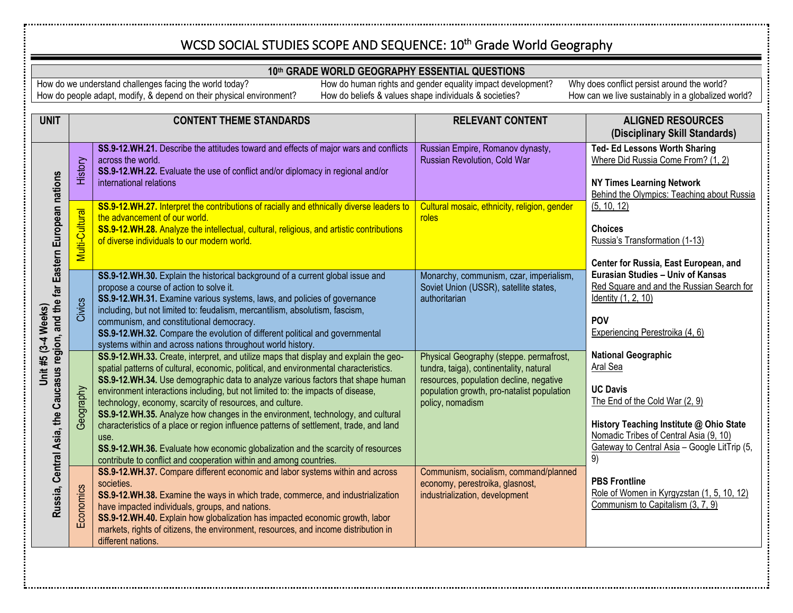### **10th GRADE WORLD GEOGRAPHY ESSENTIAL QUESTIONS**

How do we understand challenges facing the world today? How do people adapt, modify, & depend on their physical environment?

How do human rights and gender equality impact development? How do beliefs & values shape individuals & societies?

| <b>UNIT</b>                                                                                            | <b>CONTENT THEME STANDARDS</b> |                                                                                                                                                                                                                                                                                                                                                                                                                                                                                                                                                                                                                                                                                                                                                                | <b>RELEVANT CONTENT</b>                                                                                                                                                                         | <b>ALIGNED RESOURCES</b>                                                                                                                                                                                                               |  |
|--------------------------------------------------------------------------------------------------------|--------------------------------|----------------------------------------------------------------------------------------------------------------------------------------------------------------------------------------------------------------------------------------------------------------------------------------------------------------------------------------------------------------------------------------------------------------------------------------------------------------------------------------------------------------------------------------------------------------------------------------------------------------------------------------------------------------------------------------------------------------------------------------------------------------|-------------------------------------------------------------------------------------------------------------------------------------------------------------------------------------------------|----------------------------------------------------------------------------------------------------------------------------------------------------------------------------------------------------------------------------------------|--|
|                                                                                                        |                                |                                                                                                                                                                                                                                                                                                                                                                                                                                                                                                                                                                                                                                                                                                                                                                |                                                                                                                                                                                                 | (Disciplinary Skill Standards)                                                                                                                                                                                                         |  |
|                                                                                                        | History                        | SS.9-12.WH.21. Describe the attitudes toward and effects of major wars and conflicts<br>across the world.<br>SS.9-12.WH.22. Evaluate the use of conflict and/or diplomacy in regional and/or<br>international relations                                                                                                                                                                                                                                                                                                                                                                                                                                                                                                                                        | Russian Empire, Romanov dynasty,<br>Russian Revolution, Cold War                                                                                                                                | Ted- Ed Lessons Worth Sharing<br>Where Did Russia Come From? (1, 2)<br><b>NY Times Learning Network</b><br>Behind the Olympics: Teaching about Russia                                                                                  |  |
|                                                                                                        | Multi-Cultural                 | SS.9-12.WH.27. Interpret the contributions of racially and ethnically diverse leaders to<br>the advancement of our world.<br>SS.9-12.WH.28. Analyze the intellectual, cultural, religious, and artistic contributions<br>of diverse individuals to our modern world.                                                                                                                                                                                                                                                                                                                                                                                                                                                                                           | Cultural mosaic, ethnicity, religion, gender<br>roles                                                                                                                                           | (5, 10, 12)<br><b>Choices</b><br>Russia's Transformation (1-13)<br>Center for Russia, East European, and                                                                                                                               |  |
| Russia, Central Asia, the Caucasus region, and the far Eastern European nations<br>Unit #5 (3-4 Weeks) | Civics                         | SS.9-12.WH.30. Explain the historical background of a current global issue and<br>propose a course of action to solve it.<br>SS.9-12.WH.31. Examine various systems, laws, and policies of governance<br>including, but not limited to: feudalism, mercantilism, absolutism, fascism,<br>communism, and constitutional democracy.<br>SS.9-12.WH.32. Compare the evolution of different political and governmental<br>systems within and across nations throughout world history.                                                                                                                                                                                                                                                                               | Monarchy, communism, czar, imperialism,<br>Soviet Union (USSR), satellite states,<br>authoritarian                                                                                              | Eurasian Studies - Univ of Kansas<br>Red Square and and the Russian Search for<br>Identity (1, 2, 10)<br><b>POV</b><br>Experiencing Perestroika (4, 6)                                                                                 |  |
|                                                                                                        | Geography                      | SS.9-12.WH.33. Create, interpret, and utilize maps that display and explain the geo-<br>spatial patterns of cultural, economic, political, and environmental characteristics.<br>SS.9-12.WH.34. Use demographic data to analyze various factors that shape human<br>environment interactions including, but not limited to: the impacts of disease,<br>technology, economy, scarcity of resources, and culture.<br>SS.9-12.WH.35. Analyze how changes in the environment, technology, and cultural<br>characteristics of a place or region influence patterns of settlement, trade, and land<br>use.<br>SS.9-12.WH.36. Evaluate how economic globalization and the scarcity of resources<br>contribute to conflict and cooperation within and among countries. | Physical Geography (steppe. permafrost,<br>tundra, taiga), continentality, natural<br>resources, population decline, negative<br>population growth, pro-natalist population<br>policy, nomadism | <b>National Geographic</b><br>Aral Sea<br><b>UC Davis</b><br>The End of the Cold War (2, 9)<br>History Teaching Institute @ Ohio State<br>Nomadic Tribes of Central Asia (9, 10)<br>Gateway to Central Asia - Google LitTrip (5,<br>9) |  |
|                                                                                                        | Economics                      | SS.9-12.WH.37. Compare different economic and labor systems within and across<br>societies.<br>SS.9-12.WH.38. Examine the ways in which trade, commerce, and industrialization<br>have impacted individuals, groups, and nations.<br>SS.9-12.WH.40. Explain how globalization has impacted economic growth, labor<br>markets, rights of citizens, the environment, resources, and income distribution in<br>different nations.                                                                                                                                                                                                                                                                                                                                 | Communism, socialism, command/planned<br>economy, perestroika, glasnost,<br>industrialization, development                                                                                      | <b>PBS Frontline</b><br>Role of Women in Kyrgyzstan (1, 5, 10, 12)<br>Communism to Capitalism (3, 7, 9)                                                                                                                                |  |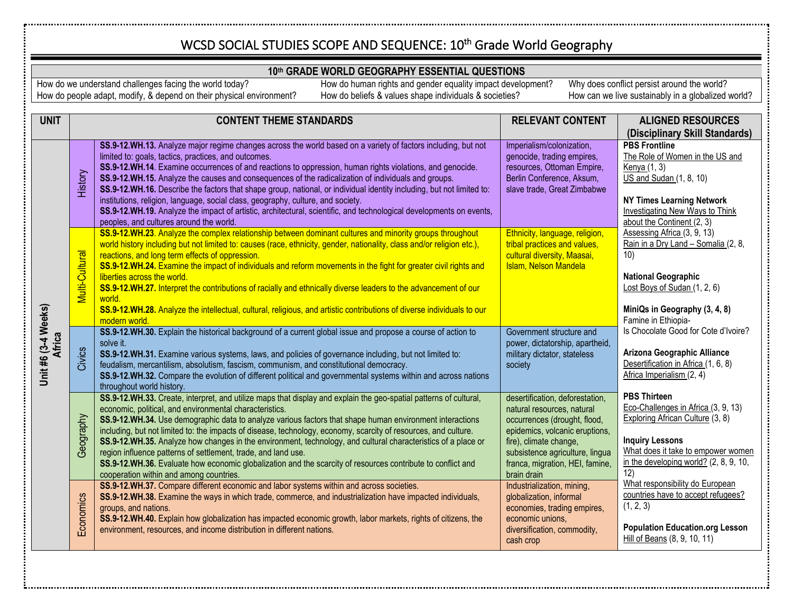### **10th GRADE WORLD GEOGRAPHY ESSENTIAL QUESTIONS**

How do we understand challenges facing the world today? How do people adapt, modify, & depend on their physical environment? How do human rights and gender equality impact development? How do beliefs & values shape individuals & societies?

| <b>UNIT</b>                   |                | <b>CONTENT THEME STANDARDS</b>                                                                                                                                                                                                                                                                                                                                                                                                                                                                                                                                                                                                                                                                                                                                           | <b>RELEVANT CONTENT</b>                                                                                                                                                                                                                        | <b>ALIGNED RESOURCES</b>                                                                                                                                                                                        |
|-------------------------------|----------------|--------------------------------------------------------------------------------------------------------------------------------------------------------------------------------------------------------------------------------------------------------------------------------------------------------------------------------------------------------------------------------------------------------------------------------------------------------------------------------------------------------------------------------------------------------------------------------------------------------------------------------------------------------------------------------------------------------------------------------------------------------------------------|------------------------------------------------------------------------------------------------------------------------------------------------------------------------------------------------------------------------------------------------|-----------------------------------------------------------------------------------------------------------------------------------------------------------------------------------------------------------------|
|                               |                |                                                                                                                                                                                                                                                                                                                                                                                                                                                                                                                                                                                                                                                                                                                                                                          |                                                                                                                                                                                                                                                | (Disciplinary Skill Standards)                                                                                                                                                                                  |
|                               | History        | SS.9-12.WH.13. Analyze major regime changes across the world based on a variety of factors including, but not<br>limited to: goals, tactics, practices, and outcomes.<br>SS.9-12.WH.14. Examine occurrences of and reactions to oppression, human rights violations, and genocide.<br>SS.9-12.WH.15. Analyze the causes and consequences of the radicalization of individuals and groups.<br>SS.9-12.WH.16. Describe the factors that shape group, national, or individual identity including, but not limited to:<br>institutions, religion, language, social class, geography, culture, and society.<br>SS.9-12.WH.19. Analyze the impact of artistic, architectural, scientific, and technological developments on events,<br>peoples, and cultures around the world. | Imperialism/colonization,<br>genocide, trading empires,<br>resources, Ottoman Empire,<br>Berlin Conference, Aksum,<br>slave trade, Great Zimbabwe                                                                                              | <b>PBS Frontline</b><br>The Role of Women in the US and<br>Kenya (1, 3)<br>US and Sudan (1, 8, 10)<br><b>NY Times Learning Network</b><br><b>Investigating New Ways to Think</b><br>about the Continent (2, 3)  |
|                               | Multi-Cultural | SS.9-12.WH.23. Analyze the complex relationship between dominant cultures and minority groups throughout<br>world history including but not limited to: causes (race, ethnicity, gender, nationality, class and/or religion etc.),<br>reactions, and long term effects of oppression.<br>SS.9-12.WH.24. Examine the impact of individuals and reform movements in the fight for greater civil rights and<br>liberties across the world.<br>SS.9-12.WH.27. Interpret the contributions of racially and ethnically diverse leaders to the advancement of our<br>world.<br>SS.9-12.WH.28. Analyze the intellectual, cultural, religious, and artistic contributions of diverse individuals to our<br>modern world.                                                          | Ethnicity, language, religion,<br>tribal practices and values,<br>cultural diversity, Maasai,<br>Islam, Nelson Mandela                                                                                                                         | Assessing Africa (3, 9, 13)<br>Rain in a Dry Land - Somalia (2, 8,<br>10)<br><b>National Geographic</b><br>Lost Boys of Sudan (1, 2, 6)<br>MiniQs in Geography (3, 4, 8)<br>Famine in Ethiopia-                 |
| Unit #6 (3-4 Weeks)<br>Africa | Civics         | SS.9-12.WH.30. Explain the historical background of a current global issue and propose a course of action to<br>solve it.<br>SS.9-12.WH.31. Examine various systems, laws, and policies of governance including, but not limited to:<br>feudalism, mercantilism, absolutism, fascism, communism, and constitutional democracy.<br>SS.9-12.WH.32. Compare the evolution of different political and governmental systems within and across nations<br>throughout world history.                                                                                                                                                                                                                                                                                            | Government structure and<br>power, dictatorship, apartheid,<br>military dictator, stateless<br>society                                                                                                                                         | Is Chocolate Good for Cote d'Ivoire?<br>Arizona Geographic Alliance<br>Desertification in Africa (1, 6, 8)<br>Africa Imperialism (2, 4)                                                                         |
|                               | Geography      | SS.9-12.WH.33. Create, interpret, and utilize maps that display and explain the geo-spatial patterns of cultural,<br>economic, political, and environmental characteristics.<br>SS.9-12.WH.34. Use demographic data to analyze various factors that shape human environment interactions<br>including, but not limited to: the impacts of disease, technology, economy, scarcity of resources, and culture.<br>SS.9-12.WH.35. Analyze how changes in the environment, technology, and cultural characteristics of a place or<br>region influence patterns of settlement, trade, and land use.<br>SS.9-12.WH.36. Evaluate how economic globalization and the scarcity of resources contribute to conflict and<br>cooperation within and among countries.                  | desertification, deforestation,<br>natural resources, natural<br>occurrences (drought, flood,<br>epidemics, volcanic eruptions,<br>fire), climate change,<br>subsistence agriculture, lingua<br>franca, migration, HEI, famine,<br>brain drain | <b>PBS Thirteen</b><br>Eco-Challenges in Africa (3, 9, 13)<br>Exploring African Culture (3, 8)<br><b>Inquiry Lessons</b><br>What does it take to empower women<br>in the developing world? (2, 8, 9, 10,<br>12) |
|                               | Economics      | SS.9-12.WH.37. Compare different economic and labor systems within and across societies.<br>SS.9-12.WH.38. Examine the ways in which trade, commerce, and industrialization have impacted individuals,<br>groups, and nations.<br>SS.9-12.WH.40. Explain how globalization has impacted economic growth, labor markets, rights of citizens, the<br>environment, resources, and income distribution in different nations.                                                                                                                                                                                                                                                                                                                                                 | Industrialization, mining,<br>globalization, informal<br>economies, trading empires,<br>economic unions,<br>diversification, commodity,<br>cash crop                                                                                           | What responsibility do European<br>countries have to accept refugees?<br>(1, 2, 3)<br><b>Population Education.org Lesson</b><br>Hill of Beans (8, 9, 10, 11)                                                    |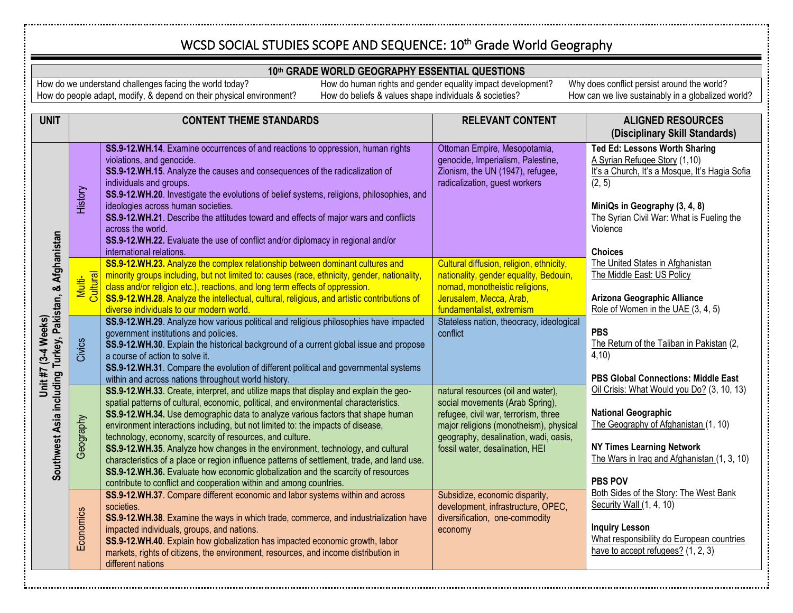### **10th GRADE WORLD GEOGRAPHY ESSENTIAL QUESTIONS**

How do we understand challenges facing the world today? How do people adapt, modify, & depend on their physical environment? How do human rights and gender equality impact development? How do beliefs & values shape individuals & societies?

| <b>UNIT</b>                                                                     | <b>CONTENT THEME STANDARDS</b> |                                                                                                                                                                                                                                                                                                                                                                                                                                                                                                                                                                                                                                                                                                                                                             | <b>RELEVANT CONTENT</b><br><b>ALIGNED RESOURCES</b>                                                                                                                                                                                 |                                                                                                                                                                                                                                               |
|---------------------------------------------------------------------------------|--------------------------------|-------------------------------------------------------------------------------------------------------------------------------------------------------------------------------------------------------------------------------------------------------------------------------------------------------------------------------------------------------------------------------------------------------------------------------------------------------------------------------------------------------------------------------------------------------------------------------------------------------------------------------------------------------------------------------------------------------------------------------------------------------------|-------------------------------------------------------------------------------------------------------------------------------------------------------------------------------------------------------------------------------------|-----------------------------------------------------------------------------------------------------------------------------------------------------------------------------------------------------------------------------------------------|
|                                                                                 |                                |                                                                                                                                                                                                                                                                                                                                                                                                                                                                                                                                                                                                                                                                                                                                                             |                                                                                                                                                                                                                                     | (Disciplinary Skill Standards)                                                                                                                                                                                                                |
|                                                                                 | History                        | SS.9-12.WH.14. Examine occurrences of and reactions to oppression, human rights<br>violations, and genocide.<br>SS.9-12.WH.15. Analyze the causes and consequences of the radicalization of<br>individuals and groups.<br>SS.9-12.WH.20. Investigate the evolutions of belief systems, religions, philosophies, and<br>ideologies across human societies.<br>SS.9-12.WH.21. Describe the attitudes toward and effects of major wars and conflicts<br>across the world.<br>SS.9-12.WH.22. Evaluate the use of conflict and/or diplomacy in regional and/or<br>international relations.                                                                                                                                                                       | Ottoman Empire, Mesopotamia,<br>genocide, Imperialism, Palestine,<br>Zionism, the UN (1947), refugee,<br>radicalization, guest workers                                                                                              | <b>Ted Ed: Lessons Worth Sharing</b><br>A Syrian Refugee Story (1,10)<br>It's a Church, It's a Mosque, It's Hagia Sofia<br>(2, 5)<br>MiniQs in Geography (3, 4, 8)<br>The Syrian Civil War: What is Fueling the<br>Violence<br><b>Choices</b> |
| Southwest Asia including Turkey, Pakistan, & Afghanistan<br>Unit #7 (3-4 Weeks) | Multi-<br>Cultural             | SS.9-12.WH.23. Analyze the complex relationship between dominant cultures and<br>minority groups including, but not limited to: causes (race, ethnicity, gender, nationality,<br>class and/or religion etc.), reactions, and long term effects of oppression.<br>SS.9-12.WH.28. Analyze the intellectual, cultural, religious, and artistic contributions of<br>diverse individuals to our modern world.                                                                                                                                                                                                                                                                                                                                                    | Cultural diffusion, religion, ethnicity,<br>nationality, gender equality, Bedouin,<br>nomad, monotheistic religions,<br>Jerusalem, Mecca, Arab,<br>fundamentalist, extremism                                                        | The United States in Afghanistan<br>The Middle East: US Policy<br>Arizona Geographic Alliance<br>Role of Women in the UAE (3, 4, 5)                                                                                                           |
|                                                                                 | Civics                         | SS.9-12.WH.29. Analyze how various political and religious philosophies have impacted<br>government institutions and policies.<br>SS.9-12.WH.30. Explain the historical background of a current global issue and propose<br>a course of action to solve it.<br>SS.9-12.WH.31. Compare the evolution of different political and governmental systems<br>within and across nations throughout world history.                                                                                                                                                                                                                                                                                                                                                  | Stateless nation, theocracy, ideological<br>conflict                                                                                                                                                                                | <b>PBS</b><br>The Return of the Taliban in Pakistan (2,<br>4,10)<br><b>PBS Global Connections: Middle East</b>                                                                                                                                |
|                                                                                 | Geography                      | SS.9-12.WH.33. Create, interpret, and utilize maps that display and explain the geo-<br>spatial patterns of cultural, economic, political, and environmental characteristics.<br>SS.9-12.WH.34. Use demographic data to analyze various factors that shape human<br>environment interactions including, but not limited to: the impacts of disease,<br>technology, economy, scarcity of resources, and culture.<br>SS.9-12.WH.35. Analyze how changes in the environment, technology, and cultural<br>characteristics of a place or region influence patterns of settlement, trade, and land use.<br>SS.9-12.WH.36. Evaluate how economic globalization and the scarcity of resources<br>contribute to conflict and cooperation within and among countries. | natural resources (oil and water),<br>social movements (Arab Spring),<br>refugee, civil war, terrorism, three<br>major religions (monotheism), physical<br>geography, desalination, wadi, oasis,<br>fossil water, desalination, HEI | Oil Crisis: What Would you Do? (3, 10, 13)<br><b>National Geographic</b><br>The Geography of Afghanistan (1, 10)<br><b>NY Times Learning Network</b><br>The Wars in Iraq and Afghanistan (1, 3, 10)<br><b>PBS POV</b>                         |
|                                                                                 | Economics                      | SS.9-12.WH.37. Compare different economic and labor systems within and across<br>societies.<br>SS.9-12.WH.38. Examine the ways in which trade, commerce, and industrialization have<br>impacted individuals, groups, and nations.<br>SS.9-12.WH.40. Explain how globalization has impacted economic growth, labor<br>markets, rights of citizens, the environment, resources, and income distribution in<br>different nations                                                                                                                                                                                                                                                                                                                               | Subsidize, economic disparity,<br>development, infrastructure, OPEC,<br>diversification, one-commodity<br>economy                                                                                                                   | Both Sides of the Story: The West Bank<br>Security Wall (1, 4, 10)<br><b>Inquiry Lesson</b><br>What responsibility do European countries<br>have to accept refugees? (1, 2, 3)                                                                |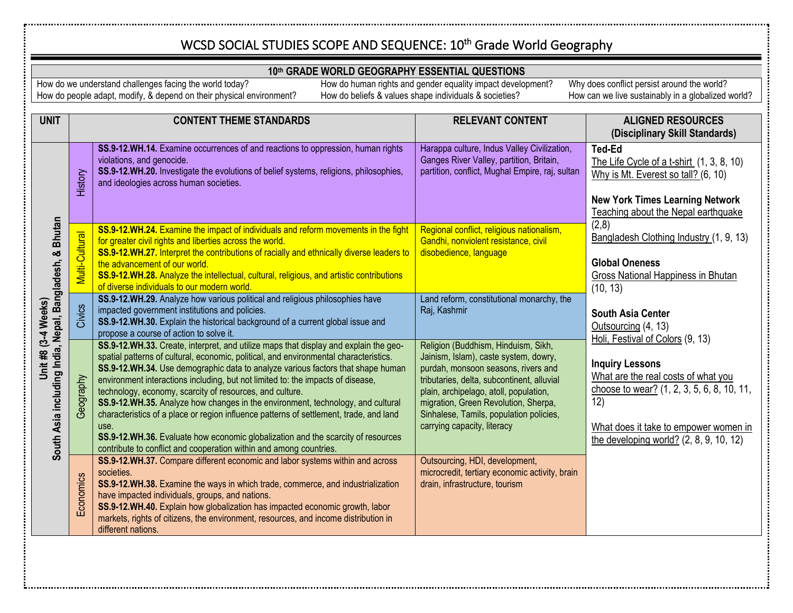### **10th GRADE WORLD GEOGRAPHY ESSENTIAL QUESTIONS**

How do we understand challenges facing the world today? How do people adapt, modify, & depend on their physical environment? How do human rights and gender equality impact development? How do beliefs & values shape individuals & societies?

| <b>UNIT</b>                                                                    | <b>CONTENT THEME STANDARDS</b>                     |                                                                                                                                                                                                                                                                                                                                                                                                                                                                                                                                                                                                                                                                                                                                                                                                                                                                                                                                                                                                                                                                                                                                                                                                                                                                                                                                                                                                                                                                                                                                                                                                                                                                                                                                                                                                                                                                     | <b>RELEVANT CONTENT</b>                                                                                                                                                                                                                                                                                                                                                                                                                                                                                                                                                                                                         | <b>ALIGNED RESOURCES</b>                                                                                                                                                                                                                                                                                                                                                                                                       |
|--------------------------------------------------------------------------------|----------------------------------------------------|---------------------------------------------------------------------------------------------------------------------------------------------------------------------------------------------------------------------------------------------------------------------------------------------------------------------------------------------------------------------------------------------------------------------------------------------------------------------------------------------------------------------------------------------------------------------------------------------------------------------------------------------------------------------------------------------------------------------------------------------------------------------------------------------------------------------------------------------------------------------------------------------------------------------------------------------------------------------------------------------------------------------------------------------------------------------------------------------------------------------------------------------------------------------------------------------------------------------------------------------------------------------------------------------------------------------------------------------------------------------------------------------------------------------------------------------------------------------------------------------------------------------------------------------------------------------------------------------------------------------------------------------------------------------------------------------------------------------------------------------------------------------------------------------------------------------------------------------------------------------|---------------------------------------------------------------------------------------------------------------------------------------------------------------------------------------------------------------------------------------------------------------------------------------------------------------------------------------------------------------------------------------------------------------------------------------------------------------------------------------------------------------------------------------------------------------------------------------------------------------------------------|--------------------------------------------------------------------------------------------------------------------------------------------------------------------------------------------------------------------------------------------------------------------------------------------------------------------------------------------------------------------------------------------------------------------------------|
|                                                                                |                                                    |                                                                                                                                                                                                                                                                                                                                                                                                                                                                                                                                                                                                                                                                                                                                                                                                                                                                                                                                                                                                                                                                                                                                                                                                                                                                                                                                                                                                                                                                                                                                                                                                                                                                                                                                                                                                                                                                     |                                                                                                                                                                                                                                                                                                                                                                                                                                                                                                                                                                                                                                 | (Disciplinary Skill Standards)                                                                                                                                                                                                                                                                                                                                                                                                 |
|                                                                                | History                                            | SS.9-12.WH.14. Examine occurrences of and reactions to oppression, human rights<br>violations, and genocide.<br>SS.9-12.WH.20. Investigate the evolutions of belief systems, religions, philosophies,<br>and ideologies across human societies.                                                                                                                                                                                                                                                                                                                                                                                                                                                                                                                                                                                                                                                                                                                                                                                                                                                                                                                                                                                                                                                                                                                                                                                                                                                                                                                                                                                                                                                                                                                                                                                                                     | Harappa culture, Indus Valley Civilization,<br>Ganges River Valley, partition, Britain,<br>partition, conflict, Mughal Empire, raj, sultan                                                                                                                                                                                                                                                                                                                                                                                                                                                                                      | <b>Ted-Ed</b><br>The Life Cycle of a t-shirt $(1, 3, 8, 10)$<br>Why is Mt. Everest so tall? (6, 10)<br><b>New York Times Learning Network</b><br>Teaching about the Nepal earthquake                                                                                                                                                                                                                                           |
| South Asia including India, Nepal, Bangladesh, & Bhutan<br>Unit #8 (3-4 Weeks) | Multi-Cultural<br>Civics<br>Geography<br>Economics | SS.9-12.WH.24. Examine the impact of individuals and reform movements in the fight<br>for greater civil rights and liberties across the world.<br>SS.9-12.WH.27. Interpret the contributions of racially and ethnically diverse leaders to<br>the advancement of our world.<br>SS.9-12.WH.28. Analyze the intellectual, cultural, religious, and artistic contributions<br>of diverse individuals to our modern world.<br>SS.9-12.WH.29. Analyze how various political and religious philosophies have<br>impacted government institutions and policies.<br>SS.9-12.WH.30. Explain the historical background of a current global issue and<br>propose a course of action to solve it.<br>SS.9-12.WH.33. Create, interpret, and utilize maps that display and explain the geo-<br>spatial patterns of cultural, economic, political, and environmental characteristics.<br>SS.9-12.WH.34. Use demographic data to analyze various factors that shape human<br>environment interactions including, but not limited to: the impacts of disease,<br>technology, economy, scarcity of resources, and culture.<br>SS.9-12.WH.35. Analyze how changes in the environment, technology, and cultural<br>characteristics of a place or region influence patterns of settlement, trade, and land<br>use.<br>SS.9-12.WH.36. Evaluate how economic globalization and the scarcity of resources<br>contribute to conflict and cooperation within and among countries.<br>SS.9-12.WH.37. Compare different economic and labor systems within and across<br>societies.<br>SS.9-12.WH.38. Examine the ways in which trade, commerce, and industrialization<br>have impacted individuals, groups, and nations.<br>SS.9-12.WH.40. Explain how globalization has impacted economic growth, labor<br>markets, rights of citizens, the environment, resources, and income distribution in | Regional conflict, religious nationalism,<br>Gandhi, nonviolent resistance, civil<br>disobedience, language<br>Land reform, constitutional monarchy, the<br>Raj, Kashmir<br>Religion (Buddhism, Hinduism, Sikh,<br>Jainism, Islam), caste system, dowry,<br>purdah, monsoon seasons, rivers and<br>tributaries, delta, subcontinent, alluvial<br>plain, archipelago, atoll, population,<br>migration, Green Revolution, Sherpa,<br>Sinhalese, Tamils, population policies,<br>carrying capacity, literacy<br>Outsourcing, HDI, development,<br>microcredit, tertiary economic activity, brain<br>drain, infrastructure, tourism | (2,8)<br>Bangladesh Clothing Industry (1, 9, 13)<br><b>Global Oneness</b><br>Gross National Happiness in Bhutan<br>(10, 13)<br><b>South Asia Center</b><br>Outsourcing (4, 13)<br>Holi, Festival of Colors (9, 13)<br><b>Inquiry Lessons</b><br>What are the real costs of what you<br>choose to wear? (1, 2, 3, 5, 6, 8, 10, 11,<br>12)<br>What does it take to empower women in<br>the developing world? $(2, 8, 9, 10, 12)$ |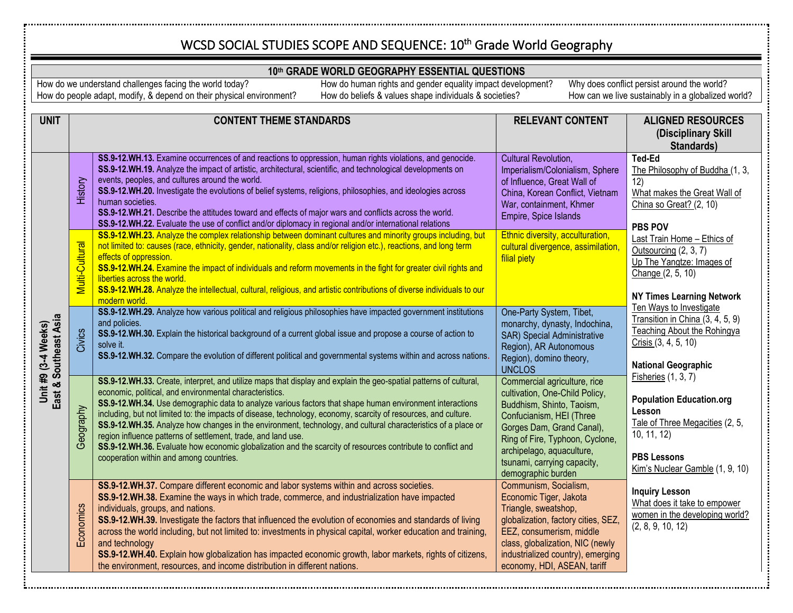### **10th GRADE WORLD GEOGRAPHY ESSENTIAL QUESTIONS**

How do we understand challenges facing the world today? How do people adapt, modify, & depend on their physical environment? How do human rights and gender equality impact development? How do beliefs & values shape individuals & societies?

| <b>UNIT</b>                                  | <b>CONTENT THEME STANDARDS</b> |                                                                                                                                                                                                                                                                                                                                                                                                                                                                                                                                                                                                                                                                                                                                                         | <b>RELEVANT CONTENT</b>                                                                                                                                                                                                                                                   | <b>ALIGNED RESOURCES</b>                                                                                                                                                    |
|----------------------------------------------|--------------------------------|---------------------------------------------------------------------------------------------------------------------------------------------------------------------------------------------------------------------------------------------------------------------------------------------------------------------------------------------------------------------------------------------------------------------------------------------------------------------------------------------------------------------------------------------------------------------------------------------------------------------------------------------------------------------------------------------------------------------------------------------------------|---------------------------------------------------------------------------------------------------------------------------------------------------------------------------------------------------------------------------------------------------------------------------|-----------------------------------------------------------------------------------------------------------------------------------------------------------------------------|
|                                              |                                |                                                                                                                                                                                                                                                                                                                                                                                                                                                                                                                                                                                                                                                                                                                                                         |                                                                                                                                                                                                                                                                           | (Disciplinary Skill                                                                                                                                                         |
|                                              | History                        | SS.9-12.WH.13. Examine occurrences of and reactions to oppression, human rights violations, and genocide.<br>SS.9-12.WH.19. Analyze the impact of artistic, architectural, scientific, and technological developments on<br>events, peoples, and cultures around the world.<br>SS.9-12.WH.20. Investigate the evolutions of belief systems, religions, philosophies, and ideologies across<br>human societies.<br>SS.9-12.WH.21. Describe the attitudes toward and effects of major wars and conflicts across the world.<br>SS.9-12.WH.22. Evaluate the use of conflict and/or diplomacy in regional and/or international relations                                                                                                                     | Cultural Revolution,<br>Imperialism/Colonialism, Sphere<br>of Influence, Great Wall of<br>China, Korean Conflict, Vietnam<br>War, containment, Khmer<br>Empire, Spice Islands                                                                                             | Standards)<br>Ted-Ed<br>The Philosophy of Buddha (1, 3,<br>12)<br>What makes the Great Wall of<br>China so Great? (2, 10)<br><b>PBS POV</b>                                 |
| Unit #9 (3-4 Weeks)<br>East & Southeast Asia | Multi-Cultural                 | SS.9-12.WH.23. Analyze the complex relationship between dominant cultures and minority groups including, but<br>not limited to: causes (race, ethnicity, gender, nationality, class and/or religion etc.), reactions, and long term<br>effects of oppression.<br>SS.9-12.WH.24. Examine the impact of individuals and reform movements in the fight for greater civil rights and<br>liberties across the world.<br>SS.9-12.WH.28. Analyze the intellectual, cultural, religious, and artistic contributions of diverse individuals to our<br>modern world.                                                                                                                                                                                              | Ethnic diversity, acculturation,<br>cultural divergence, assimilation,<br>filial piety                                                                                                                                                                                    | Last Train Home - Ethics of<br>Outsourcing (2, 3, 7)<br>Up The Yangtze: Images of<br>Change (2, 5, 10)<br><b>NY Times Learning Network</b>                                  |
|                                              | Civics                         | SS.9-12.WH.29. Analyze how various political and religious philosophies have impacted government institutions<br>and policies.<br>SS.9-12.WH.30. Explain the historical background of a current global issue and propose a course of action to<br>solve it.<br>SS.9-12.WH.32. Compare the evolution of different political and governmental systems within and across nations.                                                                                                                                                                                                                                                                                                                                                                          | One-Party System, Tibet,<br>monarchy, dynasty, Indochina,<br><b>SAR)</b> Special Administrative<br>Region), AR Autonomous<br>Region), domino theory,<br><b>UNCLOS</b>                                                                                                     | Ten Ways to Investigate<br>Transition in China (3, 4, 5, 9)<br>Teaching About the Rohingya<br>Crisis (3, 4, 5, 10)<br><b>National Geographic</b>                            |
|                                              | Geography                      | SS.9-12.WH.33. Create, interpret, and utilize maps that display and explain the geo-spatial patterns of cultural,<br>economic, political, and environmental characteristics.<br>SS.9-12.WH.34. Use demographic data to analyze various factors that shape human environment interactions<br>including, but not limited to: the impacts of disease, technology, economy, scarcity of resources, and culture.<br>SS.9-12.WH.35. Analyze how changes in the environment, technology, and cultural characteristics of a place or<br>region influence patterns of settlement, trade, and land use.<br>SS.9-12.WH.36. Evaluate how economic globalization and the scarcity of resources contribute to conflict and<br>cooperation within and among countries. | Commercial agriculture, rice<br>cultivation, One-Child Policy,<br>Buddhism, Shinto, Taoism,<br>Confucianism, HEI (Three<br>Gorges Dam, Grand Canal),<br>Ring of Fire, Typhoon, Cyclone,<br>archipelago, aquaculture,<br>tsunami, carrying capacity,<br>demographic burden | Fisheries (1, 3, 7)<br><b>Population Education.org</b><br>Lesson<br>Tale of Three Megacities (2, 5,<br>10, 11, 12)<br><b>PBS Lessons</b><br>Kim's Nuclear Gamble (1, 9, 10) |
|                                              | Economics                      | SS.9-12.WH.37. Compare different economic and labor systems within and across societies.<br>SS.9-12.WH.38. Examine the ways in which trade, commerce, and industrialization have impacted<br>individuals, groups, and nations.<br>SS.9-12.WH.39. Investigate the factors that influenced the evolution of economies and standards of living<br>across the world including, but not limited to: investments in physical capital, worker education and training,<br>and technology<br>SS.9-12.WH.40. Explain how globalization has impacted economic growth, labor markets, rights of citizens,<br>the environment, resources, and income distribution in different nations.                                                                              | Communism, Socialism,<br>Economic Tiger, Jakota<br>Triangle, sweatshop,<br>globalization, factory cities, SEZ,<br>EEZ, consumerism, middle<br>class, globalization, NIC (newly<br>industrialized country), emerging<br>economy, HDI, ASEAN, tariff                        | <b>Inquiry Lesson</b><br>What does it take to empower<br>women in the developing world?<br>(2, 8, 9, 10, 12)                                                                |